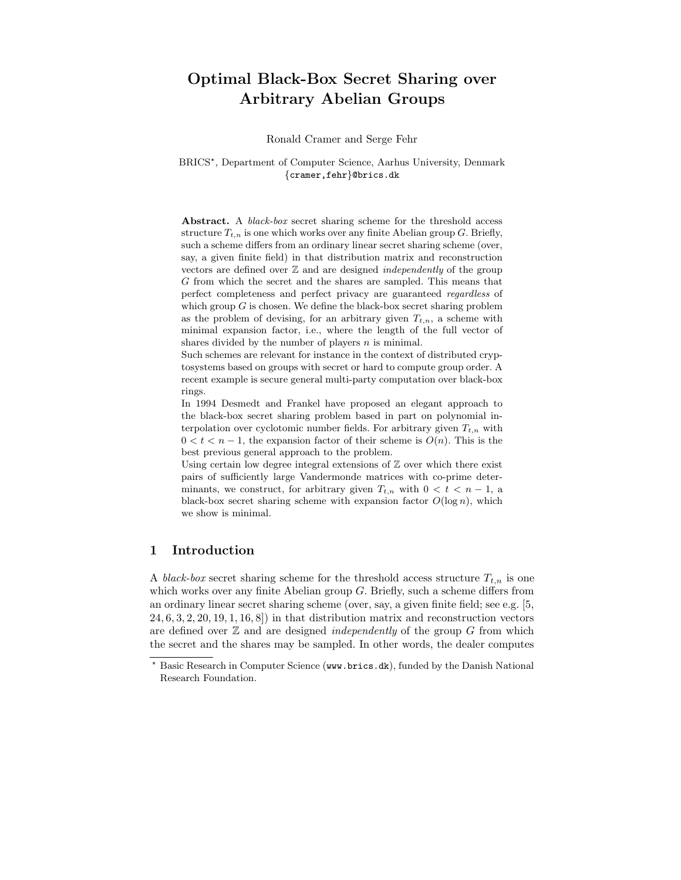# Optimal Black-Box Secret Sharing over Arbitrary Abelian Groups

Ronald Cramer and Serge Fehr

## BRICS? , Department of Computer Science, Aarhus University, Denmark {cramer,fehr}@brics.dk

Abstract. A *black-box* secret sharing scheme for the threshold access structure  $T_{t,n}$  is one which works over any finite Abelian group G. Briefly, such a scheme differs from an ordinary linear secret sharing scheme (over, say, a given finite field) in that distribution matrix and reconstruction vectors are defined over  $Z$  and are designed *independently* of the group G from which the secret and the shares are sampled. This means that perfect completeness and perfect privacy are guaranteed regardless of which group  $G$  is chosen. We define the black-box secret sharing problem as the problem of devising, for an arbitrary given  $T_{t,n}$ , a scheme with minimal expansion factor, i.e., where the length of the full vector of shares divided by the number of players  $n$  is minimal.

Such schemes are relevant for instance in the context of distributed cryptosystems based on groups with secret or hard to compute group order. A recent example is secure general multi-party computation over black-box rings.

In 1994 Desmedt and Frankel have proposed an elegant approach to the black-box secret sharing problem based in part on polynomial interpolation over cyclotomic number fields. For arbitrary given  $T_{t,n}$  with  $0 < t < n-1$ , the expansion factor of their scheme is  $O(n)$ . This is the best previous general approach to the problem.

Using certain low degree integral extensions of  $\mathbb Z$  over which there exist pairs of sufficiently large Vandermonde matrices with co-prime determinants, we construct, for arbitrary given  $T_{t,n}$  with  $0 < t < n-1$ , a black-box secret sharing scheme with expansion factor  $O(\log n)$ , which we show is minimal.

# 1 Introduction

A black-box secret sharing scheme for the threshold access structure  $T_{t,n}$  is one which works over any finite Abelian group  $G$ . Briefly, such a scheme differs from an ordinary linear secret sharing scheme (over, say, a given finite field; see e.g. [5,  $24, 6, 3, 2, 20, 19, 1, 16, 8$ ) in that distribution matrix and reconstruction vectors are defined over  $\mathbb Z$  and are designed *independently* of the group  $G$  from which the secret and the shares may be sampled. In other words, the dealer computes

Basic Research in Computer Science (www.brics.dk), funded by the Danish National Research Foundation.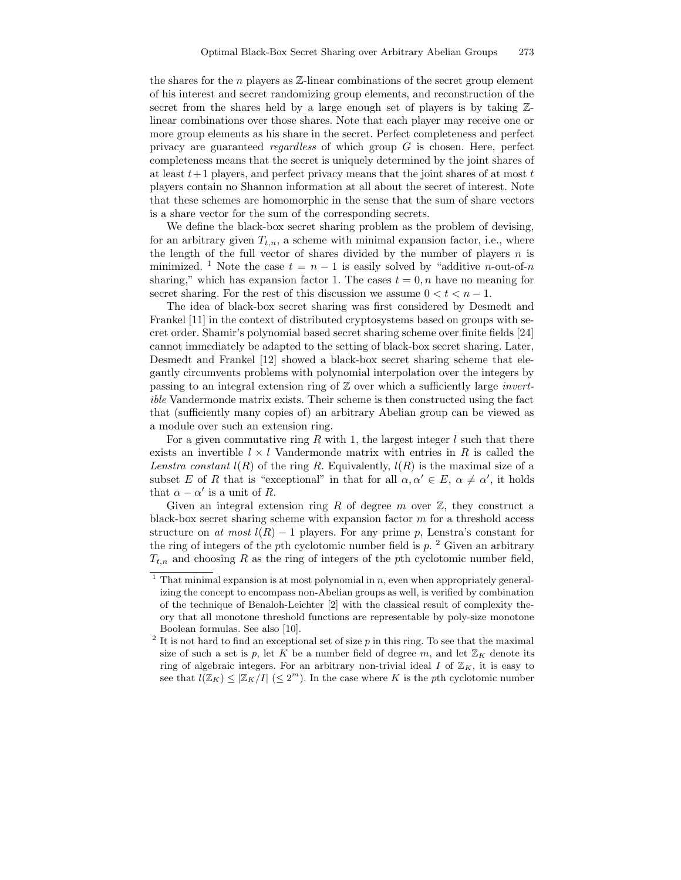the shares for the n players as  $\mathbb{Z}$ -linear combinations of the secret group element of his interest and secret randomizing group elements, and reconstruction of the secret from the shares held by a large enough set of players is by taking Zlinear combinations over those shares. Note that each player may receive one or more group elements as his share in the secret. Perfect completeness and perfect privacy are guaranteed *regardless* of which group  $G$  is chosen. Here, perfect completeness means that the secret is uniquely determined by the joint shares of at least  $t+1$  players, and perfect privacy means that the joint shares of at most  $t$ players contain no Shannon information at all about the secret of interest. Note that these schemes are homomorphic in the sense that the sum of share vectors is a share vector for the sum of the corresponding secrets.

We define the black-box secret sharing problem as the problem of devising, for an arbitrary given  $T_{t,n}$ , a scheme with minimal expansion factor, i.e., where the length of the full vector of shares divided by the number of players  $n$  is minimized. <sup>1</sup> Note the case  $t = n - 1$  is easily solved by "additive *n*-out-of-*n* sharing," which has expansion factor 1. The cases  $t = 0, n$  have no meaning for secret sharing. For the rest of this discussion we assume  $0 < t < n - 1$ .

The idea of black-box secret sharing was first considered by Desmedt and Frankel [11] in the context of distributed cryptosystems based on groups with secret order. Shamir's polynomial based secret sharing scheme over finite fields [24] cannot immediately be adapted to the setting of black-box secret sharing. Later, Desmedt and Frankel [12] showed a black-box secret sharing scheme that elegantly circumvents problems with polynomial interpolation over the integers by passing to an integral extension ring of  $\mathbb Z$  over which a sufficiently large *invert*ible Vandermonde matrix exists. Their scheme is then constructed using the fact that (sufficiently many copies of) an arbitrary Abelian group can be viewed as a module over such an extension ring.

For a given commutative ring R with 1, the largest integer  $l$  such that there exists an invertible  $l \times l$  Vandermonde matrix with entries in R is called the Lenstra constant  $l(R)$  of the ring R. Equivalently,  $l(R)$  is the maximal size of a subset E of R that is "exceptional" in that for all  $\alpha, \alpha' \in E$ ,  $\alpha \neq \alpha'$ , it holds that  $\alpha - \alpha'$  is a unit of R.

Given an integral extension ring R of degree  $m$  over  $\mathbb{Z}$ , they construct a black-box secret sharing scheme with expansion factor m for a threshold access structure on at most  $l(R) - 1$  players. For any prime p, Lenstra's constant for the ring of integers of the pth cyclotomic number field is  $p$ . <sup>2</sup> Given an arbitrary  $T_{t,n}$  and choosing R as the ring of integers of the pth cyclotomic number field,

 $1$  That minimal expansion is at most polynomial in n, even when appropriately generalizing the concept to encompass non-Abelian groups as well, is verified by combination of the technique of Benaloh-Leichter [2] with the classical result of complexity theory that all monotone threshold functions are representable by poly-size monotone Boolean formulas. See also [10].

 $2$  It is not hard to find an exceptional set of size  $p$  in this ring. To see that the maximal size of such a set is p, let K be a number field of degree m, and let  $\mathbb{Z}_K$  denote its ring of algebraic integers. For an arbitrary non-trivial ideal  $I$  of  $\mathbb{Z}_K$ , it is easy to see that  $l(\mathbb{Z}_K) \leq |\mathbb{Z}_K/I| \leq 2^m$ . In the case where K is the pth cyclotomic number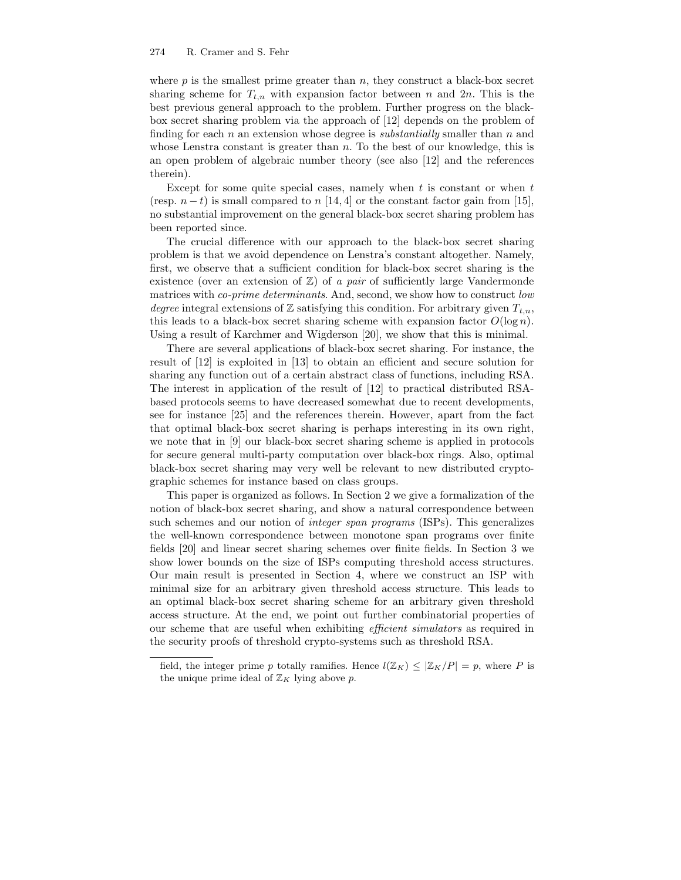where  $p$  is the smallest prime greater than  $n$ , they construct a black-box secret sharing scheme for  $T_{t,n}$  with expansion factor between n and  $2n$ . This is the best previous general approach to the problem. Further progress on the blackbox secret sharing problem via the approach of [12] depends on the problem of finding for each n an extension whose degree is *substantially* smaller than n and whose Lenstra constant is greater than  $n$ . To the best of our knowledge, this is an open problem of algebraic number theory (see also [12] and the references therein).

Except for some quite special cases, namely when  $t$  is constant or when  $t$ (resp.  $n - t$ ) is small compared to n [14, 4] or the constant factor gain from [15], no substantial improvement on the general black-box secret sharing problem has been reported since.

The crucial difference with our approach to the black-box secret sharing problem is that we avoid dependence on Lenstra's constant altogether. Namely, first, we observe that a sufficient condition for black-box secret sharing is the existence (over an extension of  $\mathbb{Z}$ ) of a pair of sufficiently large Vandermonde matrices with *co-prime determinants*. And, second, we show how to construct *low* degree integral extensions of Z satisfying this condition. For arbitrary given  $T_{t,n}$ , this leads to a black-box secret sharing scheme with expansion factor  $O(\log n)$ . Using a result of Karchmer and Wigderson [20], we show that this is minimal.

There are several applications of black-box secret sharing. For instance, the result of [12] is exploited in [13] to obtain an efficient and secure solution for sharing any function out of a certain abstract class of functions, including RSA. The interest in application of the result of [12] to practical distributed RSAbased protocols seems to have decreased somewhat due to recent developments, see for instance [25] and the references therein. However, apart from the fact that optimal black-box secret sharing is perhaps interesting in its own right, we note that in [9] our black-box secret sharing scheme is applied in protocols for secure general multi-party computation over black-box rings. Also, optimal black-box secret sharing may very well be relevant to new distributed cryptographic schemes for instance based on class groups.

This paper is organized as follows. In Section 2 we give a formalization of the notion of black-box secret sharing, and show a natural correspondence between such schemes and our notion of *integer span programs* (ISPs). This generalizes the well-known correspondence between monotone span programs over finite fields [20] and linear secret sharing schemes over finite fields. In Section 3 we show lower bounds on the size of ISPs computing threshold access structures. Our main result is presented in Section 4, where we construct an ISP with minimal size for an arbitrary given threshold access structure. This leads to an optimal black-box secret sharing scheme for an arbitrary given threshold access structure. At the end, we point out further combinatorial properties of our scheme that are useful when exhibiting efficient simulators as required in the security proofs of threshold crypto-systems such as threshold RSA.

field, the integer prime p totally ramifies. Hence  $l(\mathbb{Z}_K) \leq |\mathbb{Z}_K/P| = p$ , where P is the unique prime ideal of  $\mathbb{Z}_K$  lying above p.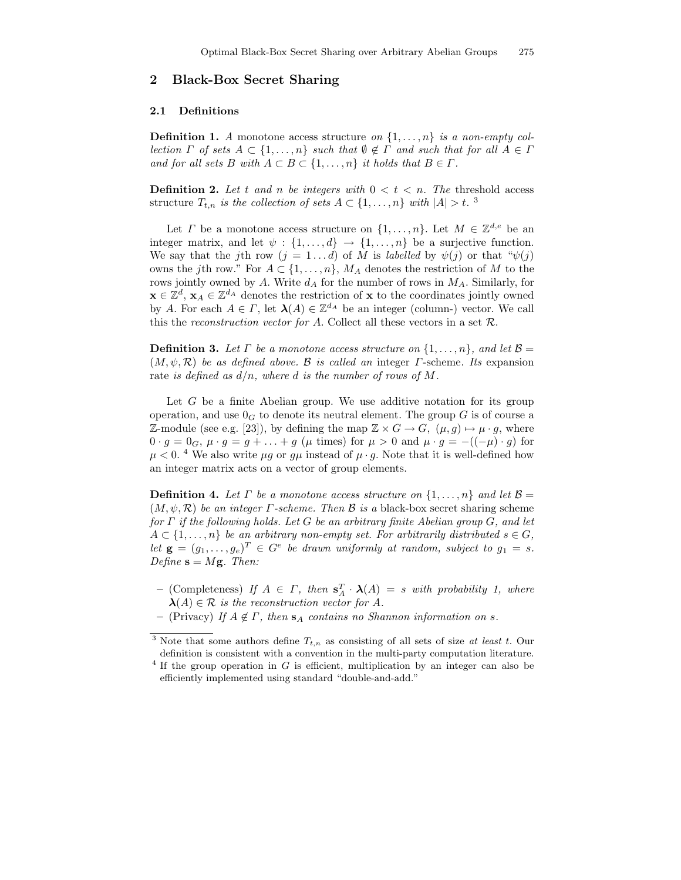# 2 Black-Box Secret Sharing

#### 2.1 Definitions

**Definition 1.** A monotone access structure on  $\{1, \ldots, n\}$  is a non-empty collection  $\Gamma$  of sets  $A \subset \{1, \ldots, n\}$  such that  $\emptyset \notin \Gamma$  and such that for all  $A \in \Gamma$ and for all sets B with  $A \subset B \subset \{1, \ldots, n\}$  it holds that  $B \in \Gamma$ .

**Definition 2.** Let t and n be integers with  $0 < t < n$ . The threshold access structure  $T_{t,n}$  is the collection of sets  $A \subset \{1,\ldots,n\}$  with  $|A| > t$ .<sup>3</sup>

Let  $\Gamma$  be a monotone access structure on  $\{1,\ldots,n\}$ . Let  $M \in \mathbb{Z}^{d,e}$  be an integer matrix, and let  $\psi : \{1, \ldots, d\} \to \{1, \ldots, n\}$  be a surjective function. We say that the jth row  $(j = 1...d)$  of M is labelled by  $\psi(j)$  or that " $\psi(j)$ " owns the jth row." For  $A \subset \{1, \ldots, n\}$ ,  $M_A$  denotes the restriction of M to the rows jointly owned by A. Write  $d_A$  for the number of rows in  $M_A$ . Similarly, for  $\mathbf{x} \in \mathbb{Z}^d$ ,  $\mathbf{x}_A \in \mathbb{Z}^{d_A}$  denotes the restriction of  $\mathbf{x}$  to the coordinates jointly owned by A. For each  $A \in \Gamma$ , let  $\lambda(A) \in \mathbb{Z}^{d_A}$  be an integer (column-) vector. We call this the reconstruction vector for A. Collect all these vectors in a set  $\mathcal{R}$ .

**Definition 3.** Let  $\Gamma$  be a monotone access structure on  $\{1, \ldots, n\}$ , and let  $\mathcal{B} =$  $(M, \psi, \mathcal{R})$  be as defined above. B is called an integer  $\Gamma$ -scheme. Its expansion rate is defined as  $d/n$ , where d is the number of rows of M.

Let  $G$  be a finite Abelian group. We use additive notation for its group operation, and use  $0<sub>G</sub>$  to denote its neutral element. The group G is of course a Z-module (see e.g. [23]), by defining the map  $\mathbb{Z} \times G \to G$ ,  $(\mu, g) \mapsto \mu \cdot g$ , where  $0 \cdot g = 0_G$ ,  $\mu \cdot g = g + \ldots + g$  ( $\mu$  times) for  $\mu > 0$  and  $\mu \cdot g = -((-\mu) \cdot g)$  for  $\mu < 0$ .<sup>4</sup> We also write  $\mu g$  or  $g\mu$  instead of  $\mu \cdot g$ . Note that it is well-defined how an integer matrix acts on a vector of group elements.

**Definition 4.** Let  $\Gamma$  be a monotone access structure on  $\{1, \ldots, n\}$  and let  $\mathcal{B} =$  $(M, \psi, \mathcal{R})$  be an integer  $\Gamma$ -scheme. Then  $\mathcal{B}$  is a black-box secret sharing scheme for  $\Gamma$  if the following holds. Let G be an arbitrary finite Abelian group G, and let  $A \subset \{1, \ldots, n\}$  be an arbitrary non-empty set. For arbitrarily distributed  $s \in G$ , let  $\mathbf{g} = (g_1, \ldots, g_e)^T \in G^e$  be drawn uniformly at random, subject to  $g_1 = s$ . Define  $\mathbf{s} = M\mathbf{g}$ . Then:

- (Completeness) If  $A \in \Gamma$ , then  $s_A^T \cdot \lambda(A) = s$  with probability 1, where  $\lambda(A) \in \mathcal{R}$  is the reconstruction vector for A.
- (Privacy) If  $A \notin \Gamma$ , then  $s_A$  contains no Shannon information on s.

<sup>&</sup>lt;sup>3</sup> Note that some authors define  $T_{t,n}$  as consisting of all sets of size *at least t*. Our definition is consistent with a convention in the multi-party computation literature.  $4$  If the group operation in G is efficient, multiplication by an integer can also be

efficiently implemented using standard "double-and-add."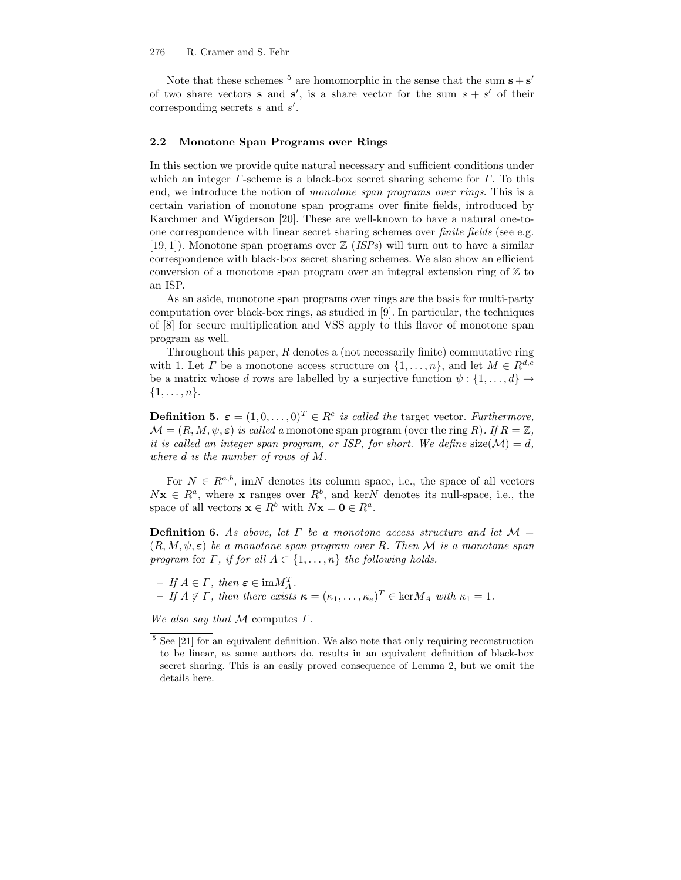Note that these schemes <sup>5</sup> are homomorphic in the sense that the sum  $s + s'$ of two share vectors **s** and **s'**, is a share vector for the sum  $s + s'$  of their corresponding secrets  $s$  and  $s'$ .

#### 2.2 Monotone Span Programs over Rings

In this section we provide quite natural necessary and sufficient conditions under which an integer  $\Gamma$ -scheme is a black-box secret sharing scheme for  $\Gamma$ . To this end, we introduce the notion of *monotone span programs over rings*. This is a certain variation of monotone span programs over finite fields, introduced by Karchmer and Wigderson [20]. These are well-known to have a natural one-toone correspondence with linear secret sharing schemes over finite fields (see e.g. [19, 1]). Monotone span programs over  $\mathbb{Z}$  (*ISPs*) will turn out to have a similar correspondence with black-box secret sharing schemes. We also show an efficient conversion of a monotone span program over an integral extension ring of  $\mathbb{Z}$  to an ISP.

As an aside, monotone span programs over rings are the basis for multi-party computation over black-box rings, as studied in [9]. In particular, the techniques of [8] for secure multiplication and VSS apply to this flavor of monotone span program as well.

Throughout this paper,  $R$  denotes a (not necessarily finite) commutative ring with 1. Let  $\Gamma$  be a monotone access structure on  $\{1, \ldots, n\}$ , and let  $M \in R^{d,e}$ be a matrix whose d rows are labelled by a surjective function  $\psi: \{1, \ldots, d\} \rightarrow$  $\{1,\ldots,n\}.$ 

**Definition 5.**  $\boldsymbol{\varepsilon} = (1, 0, \dots, 0)^T \in R^e$  is called the target vector. Furthermore,  $\mathcal{M} = (R, M, \psi, \varepsilon)$  is called a monotone span program (over the ring R). If  $R = \mathbb{Z}$ , it is called an integer span program, or ISP, for short. We define size( $\mathcal{M}$ ) = d, where d is the number of rows of M.

For  $N \in R^{a,b}$ , imN denotes its column space, i.e., the space of all vectors  $Nx \in R^a$ , where x ranges over  $R^b$ , and kerN denotes its null-space, i.e., the space of all vectors  $\mathbf{x} \in R^b$  with  $N\mathbf{x} = \mathbf{0} \in R^a$ .

**Definition 6.** As above, let  $\Gamma$  be a monotone access structure and let  $\mathcal{M} =$  $(R, M, \psi, \varepsilon)$  be a monotone span program over R. Then M is a monotone span program for  $\Gamma$ , if for all  $A \subset \{1, \ldots, n\}$  the following holds.

 $- If A \in \Gamma, then \varepsilon \in \text{im} M_A^T.$  $-If A \notin \Gamma$ , then there exists  $\kappa = (\kappa_1, \ldots, \kappa_e)^T \in \text{ker} M_A$  with  $\kappa_1 = 1$ .

We also say that  $M$  computes  $\Gamma$ .

 $^5$  See [21] for an equivalent definition. We also note that only requiring reconstruction to be linear, as some authors do, results in an equivalent definition of black-box secret sharing. This is an easily proved consequence of Lemma 2, but we omit the details here.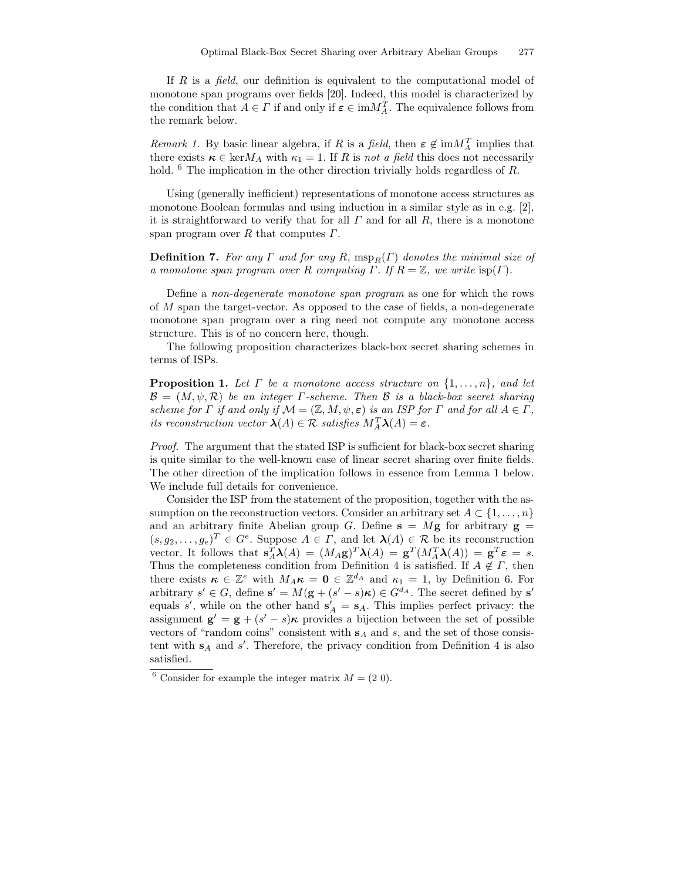If  $R$  is a *field*, our definition is equivalent to the computational model of monotone span programs over fields [20]. Indeed, this model is characterized by the condition that  $A \in \Gamma$  if and only if  $\varepsilon \in \text{im} M_A^T$ . The equivalence follows from the remark below.

*Remark 1*. By basic linear algebra, if R is a field, then  $\epsilon \notin \text{im}M_A^T$  implies that there exists  $\kappa \in \text{ker} M_A$  with  $\kappa_1 = 1$ . If R is not a field this does not necessarily hold. <sup>6</sup> The implication in the other direction trivially holds regardless of R.

Using (generally inefficient) representations of monotone access structures as monotone Boolean formulas and using induction in a similar style as in e.g. [2], it is straightforward to verify that for all  $\Gamma$  and for all  $R$ , there is a monotone span program over R that computes  $\Gamma$ .

**Definition 7.** For any  $\Gamma$  and for any  $R$ ,  $msp_R(\Gamma)$  denotes the minimal size of a monotone span program over R computing  $\Gamma$ . If  $R = \mathbb{Z}$ , we write  $\text{isp}(\Gamma)$ .

Define a non-degenerate monotone span program as one for which the rows of M span the target-vector. As opposed to the case of fields, a non-degenerate monotone span program over a ring need not compute any monotone access structure. This is of no concern here, though.

The following proposition characterizes black-box secret sharing schemes in terms of ISPs.

**Proposition 1.** Let  $\Gamma$  be a monotone access structure on  $\{1, \ldots, n\}$ , and let  $\mathcal{B} = (M, \psi, \mathcal{R})$  be an integer *Γ*-scheme. Then *B* is a black-box secret sharing scheme for  $\Gamma$  if and only if  $\mathcal{M} = (\mathbb{Z}, M, \psi, \varepsilon)$  is an ISP for  $\Gamma$  and for all  $A \in \Gamma$ , its reconstruction vector  $\lambda(A) \in \mathcal{R}$  satisfies  $M_A^T \lambda(A) = \varepsilon$ .

Proof. The argument that the stated ISP is sufficient for black-box secret sharing is quite similar to the well-known case of linear secret sharing over finite fields. The other direction of the implication follows in essence from Lemma 1 below. We include full details for convenience.

Consider the ISP from the statement of the proposition, together with the assumption on the reconstruction vectors. Consider an arbitrary set  $A \subset \{1, \ldots, n\}$ and an arbitrary finite Abelian group G. Define  $s = Mg$  for arbitrary  $g =$  $(s, g_2, \ldots, g_e)^T \in G^e$ . Suppose  $A \in \Gamma$ , and let  $\lambda(A) \in \mathcal{R}$  be its reconstruction vector. It follows that  $\mathbf{s}_A^T \boldsymbol{\lambda}(A) = (M_A \mathbf{g})^T \boldsymbol{\lambda}(A) = \mathbf{g}^T (M_A^T \boldsymbol{\lambda}(A)) = \mathbf{g}^T \boldsymbol{\varepsilon} = s.$ Thus the completeness condition from Definition 4 is satisfied. If  $A \notin \Gamma$ , then there exists  $\kappa \in \mathbb{Z}^e$  with  $M_A \kappa = \mathbf{0} \in \mathbb{Z}^{d_A}$  and  $\kappa_1 = 1$ , by Definition 6. For arbitrary  $s' \in G$ , define  $s' = M(g + (s' - s)\kappa) \in G^{d_A}$ . The secret defined by  $s'$ equals s', while on the other hand  $s'_{A} = s_{A}$ . This implies perfect privacy: the assignment  $\mathbf{g}' = \mathbf{g} + (s' - s)\kappa$  provides a bijection between the set of possible vectors of "random coins" consistent with  $s_A$  and s, and the set of those consistent with  $s_A$  and  $s'$ . Therefore, the privacy condition from Definition 4 is also satisfied.

<sup>&</sup>lt;sup>6</sup> Consider for example the integer matrix  $M = (2\ 0)$ .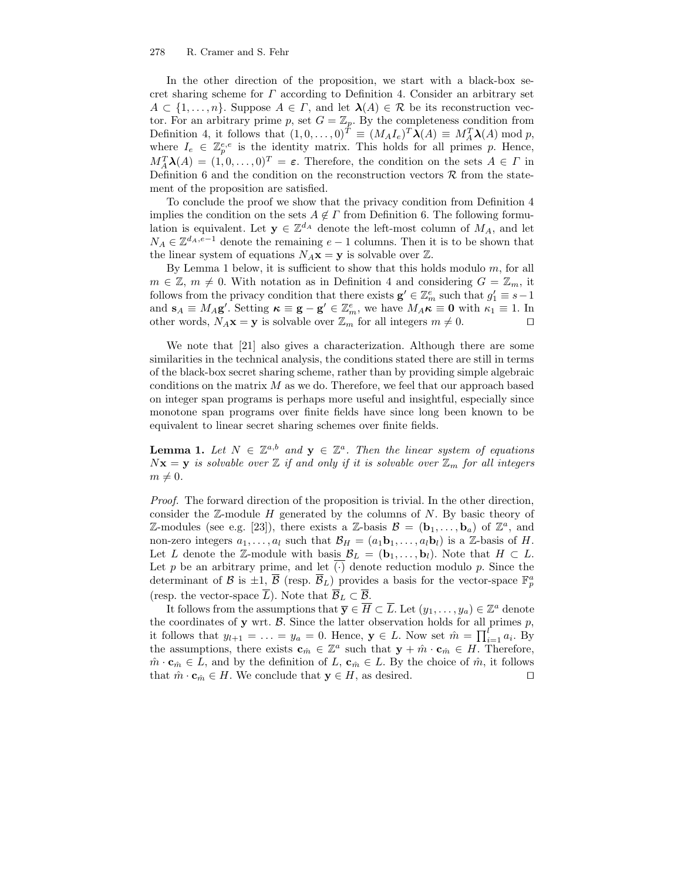#### 278 R. Cramer and S. Fehr

In the other direction of the proposition, we start with a black-box secret sharing scheme for  $\Gamma$  according to Definition 4. Consider an arbitrary set  $A \subset \{1, \ldots, n\}$ . Suppose  $A \in \Gamma$ , and let  $\lambda(A) \in \mathcal{R}$  be its reconstruction vector. For an arbitrary prime p, set  $G = \mathbb{Z}_p$ . By the completeness condition from Definition 4, it follows that  $(1, 0, \ldots, 0)^T \equiv (M_A I_e)^T \lambda(A) \equiv M_A^T \lambda(A) \bmod p$ , where  $I_e \in \mathbb{Z}_p^{e,e}$  is the identity matrix. This holds for all primes p. Hence,  $M_A^T \lambda(A) = (1, 0, \ldots, 0)^T = \varepsilon$ . Therefore, the condition on the sets  $A \in \Gamma$  in Definition 6 and the condition on the reconstruction vectors  $\mathcal R$  from the statement of the proposition are satisfied.

To conclude the proof we show that the privacy condition from Definition 4 implies the condition on the sets  $A \notin \Gamma$  from Definition 6. The following formulation is equivalent. Let  $y \in \mathbb{Z}^{d_A}$  denote the left-most column of  $M_A$ , and let  $N_A \in \mathbb{Z}^{d_A, e-1}$  denote the remaining  $e-1$  columns. Then it is to be shown that the linear system of equations  $N_A\mathbf{x} = \mathbf{y}$  is solvable over  $\mathbb{Z}$ .

By Lemma 1 below, it is sufficient to show that this holds modulo  $m$ , for all  $m \in \mathbb{Z}, m \neq 0$ . With notation as in Definition 4 and considering  $G = \mathbb{Z}_m$ , it follows from the privacy condition that there exists  $\mathbf{g}' \in \mathbb{Z}_m^e$  such that  $g'_1 \equiv s-1$ and  $\mathbf{s}_A \equiv M_A \mathbf{g}'$ . Setting  $\kappa \equiv \mathbf{g} - \mathbf{g}' \in \mathbb{Z}_m^e$ , we have  $M_A \kappa \equiv \mathbf{0}$  with  $\kappa_1 \equiv 1$ . In other words,  $N_A \mathbf{x} = \mathbf{y}$  is solvable over  $\mathbb{Z}_m$  for all integers  $m \neq 0$ .

We note that [21] also gives a characterization. Although there are some similarities in the technical analysis, the conditions stated there are still in terms of the black-box secret sharing scheme, rather than by providing simple algebraic conditions on the matrix  $M$  as we do. Therefore, we feel that our approach based on integer span programs is perhaps more useful and insightful, especially since monotone span programs over finite fields have since long been known to be equivalent to linear secret sharing schemes over finite fields.

**Lemma 1.** Let  $N \in \mathbb{Z}^{a,b}$  and  $y \in \mathbb{Z}^a$ . Then the linear system of equations  $Nx = y$  is solvable over  $\mathbb{Z}$  if and only if it is solvable over  $\mathbb{Z}_m$  for all integers  $m \neq 0$ .

Proof. The forward direction of the proposition is trivial. In the other direction, consider the  $\mathbb{Z}$ -module  $H$  generated by the columns of  $N$ . By basic theory of Z-modules (see e.g. [23]), there exists a Z-basis  $\mathcal{B} = (\mathbf{b}_1, \dots, \mathbf{b}_a)$  of  $\mathbb{Z}^a$ , and non-zero integers  $a_1, \ldots, a_l$  such that  $\mathcal{B}_H = (a_1 \mathbf{b}_1, \ldots, a_l \mathbf{b}_l)$  is a Z-basis of H. Let L denote the Z-module with basis  $\mathcal{B}_L = (\mathbf{b}_1, \ldots, \mathbf{b}_l)$ . Note that  $H \subset L$ . Let p be an arbitrary prime, and let  $\overline{(\cdot)}$  denote reduction modulo p. Since the determinant of  $\mathcal B$  is  $\pm 1$ ,  $\overline{\mathcal B}$  (resp.  $\overline{\mathcal B}_L$ ) provides a basis for the vector-space  $\mathbb F_p^a$ (resp. the vector-space  $\overline{L}$ ). Note that  $\overline{\mathcal{B}}_L \subset \overline{\mathcal{B}}$ .

It follows from the assumptions that  $\overline{y} \in \overline{H} \subset \overline{L}$ . Let  $(y_1, \ldots, y_a) \in \mathbb{Z}^a$  denote the coordinates of  $y$  wrt.  $\beta$ . Since the latter observation holds for all primes  $p$ , it follows that  $y_{l+1} = \ldots = y_a = 0$ . Hence,  $\mathbf{y} \in L$ . Now set  $\hat{m} = \prod_{i=1}^{l} a_i$ . By the assumptions, there exists  $\mathbf{c}_{\hat{m}} \in \mathbb{Z}^a$  such that  $\mathbf{y} + \hat{m} \cdot \mathbf{c}_{\hat{m}} \in H$ . Therefore,  $\hat{m} \cdot \mathbf{c}_{\hat{m}} \in L$ , and by the definition of L,  $\mathbf{c}_{\hat{m}} \in L$ . By the choice of  $\hat{m}$ , it follows that  $\hat{m} \cdot \mathbf{c}_{\hat{m}} \in H$ . We conclude that  $\mathbf{y} \in H$ , as desired.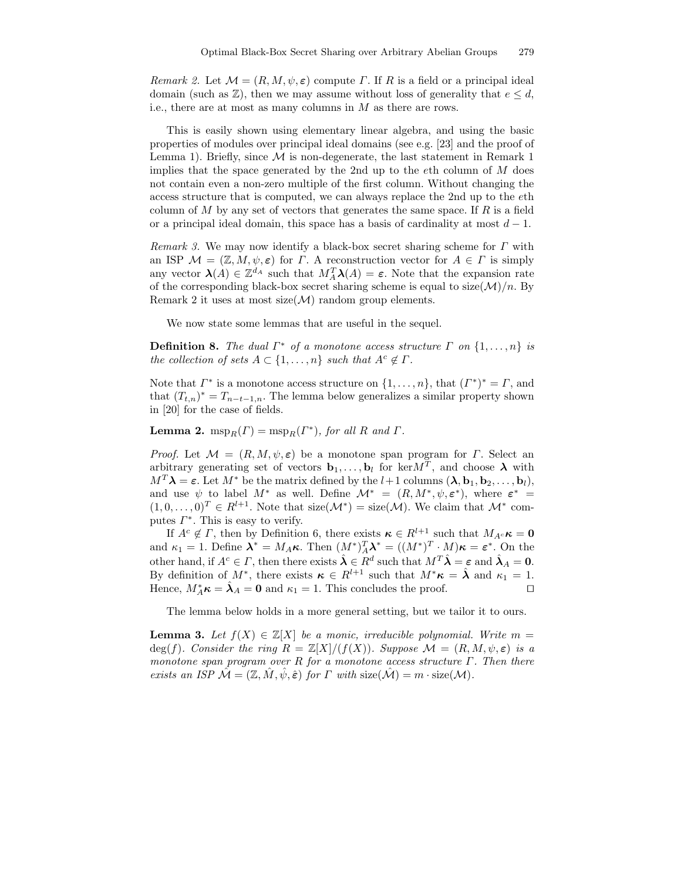Remark 2. Let  $\mathcal{M} = (R, M, \psi, \varepsilon)$  compute  $\Gamma$ . If R is a field or a principal ideal domain (such as  $\mathbb{Z}$ ), then we may assume without loss of generality that  $e \leq d$ , i.e., there are at most as many columns in M as there are rows.

This is easily shown using elementary linear algebra, and using the basic properties of modules over principal ideal domains (see e.g. [23] and the proof of Lemma 1). Briefly, since  $M$  is non-degenerate, the last statement in Remark 1 implies that the space generated by the 2nd up to the  $e$ th column of  $M$  does not contain even a non-zero multiple of the first column. Without changing the access structure that is computed, we can always replace the 2nd up to the eth column of M by any set of vectors that generates the same space. If R is a field or a principal ideal domain, this space has a basis of cardinality at most  $d-1$ .

*Remark 3.* We may now identify a black-box secret sharing scheme for  $\Gamma$  with an ISP  $\mathcal{M} = (\mathbb{Z}, M, \psi, \varepsilon)$  for  $\Gamma$ . A reconstruction vector for  $A \in \Gamma$  is simply any vector  $\lambda(A) \in \mathbb{Z}^{d_A}$  such that  $M_A^T \lambda(A) = \varepsilon$ . Note that the expansion rate of the corresponding black-box secret sharing scheme is equal to  $size(\mathcal{M})/n$ . By Remark 2 it uses at most size( $\mathcal{M}$ ) random group elements.

We now state some lemmas that are useful in the sequel.

**Definition 8.** The dual  $\Gamma^*$  of a monotone access structure  $\Gamma$  on  $\{1, \ldots, n\}$  is the collection of sets  $A \subset \{1, \ldots, n\}$  such that  $A^c \notin \Gamma$ .

Note that  $\Gamma^*$  is a monotone access structure on  $\{1, \ldots, n\}$ , that  $(\Gamma^*)^* = \Gamma$ , and that  $(T_{t,n})^* = T_{n-t-1,n}$ . The lemma below generalizes a similar property shown in [20] for the case of fields.

**Lemma 2.**  $msp_R(\Gamma) = msp_R(\Gamma^*)$ , for all R and  $\Gamma$ .

*Proof.* Let  $\mathcal{M} = (R, M, \psi, \varepsilon)$  be a monotone span program for  $\Gamma$ . Select an arbitrary generating set of vectors  $\mathbf{b}_1, \ldots, \mathbf{b}_l$  for ker $M^T$ , and choose  $\boldsymbol{\lambda}$  with  $M^T \lambda = \varepsilon$ . Let  $M^*$  be the matrix defined by the  $l+1$  columns  $(\lambda, \mathbf{b}_1, \mathbf{b}_2, \ldots, \mathbf{b}_l)$ , and use  $\psi$  to label  $M^*$  as well. Define  $\mathcal{M}^* = (R, M^*, \psi, \varepsilon^*)$ , where  $\varepsilon^* =$  $(1,0,\ldots,0)^T \in R^{l+1}$ . Note that size( $\mathcal{M}^*$ ) = size( $\mathcal{M}$ ). We claim that  $\mathcal{M}^*$  computes  $\Gamma^*$ . This is easy to verify.

If  $A^c \notin \Gamma$ , then by Definition 6, there exists  $\kappa \in R^{l+1}$  such that  $M_{A^c} \kappa = 0$ and  $\kappa_1 = 1$ . Define  $\mathbf{\lambda}^* = M_A \kappa$ . Then  $(M^*)^T_A \mathbf{\lambda}^* = ((M^*)^T \cdot M) \kappa = \varepsilon^*$ . On the other hand, if  $A^c \in \Gamma$ , then there exists  $\hat{\lambda} \in R^d$  such that  $M^T \hat{\lambda} = \varepsilon$  and  $\hat{\lambda}_A = 0$ . By definition of  $M^*$ , there exists  $\kappa \in R^{l+1}$  such that  $M^*\kappa = \hat{\lambda}$  and  $\kappa_1 = 1$ . Hence,  $M_A^* \kappa = \hat{\lambda}_A = 0$  and  $\kappa_1 = 1$ . This concludes the proof.

The lemma below holds in a more general setting, but we tailor it to ours.

**Lemma 3.** Let  $f(X) \in \mathbb{Z}[X]$  be a monic, irreducible polynomial. Write  $m =$ deg(f). Consider the ring  $R = \mathbb{Z}[X]/(f(X))$ . Suppose  $\mathcal{M} = (R, M, \psi, \varepsilon)$  is a monotone span program over R for a monotone access structure  $\Gamma$ . Then there exists an ISP  $\mathcal{M} = (\mathbb{Z}, M, \psi, \hat{\epsilon})$  for  $\Gamma$  with size( $\mathcal{M}$ ) =  $m \cdot$  size( $\mathcal{M}$ ).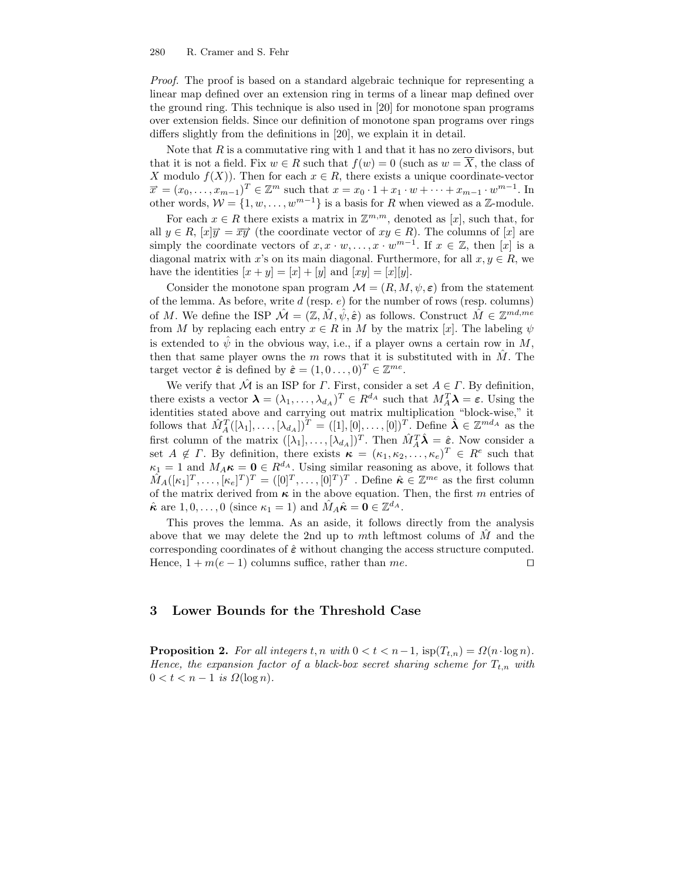Proof. The proof is based on a standard algebraic technique for representing a linear map defined over an extension ring in terms of a linear map defined over the ground ring. This technique is also used in [20] for monotone span programs over extension fields. Since our definition of monotone span programs over rings differs slightly from the definitions in [20], we explain it in detail.

Note that  $R$  is a commutative ring with 1 and that it has no zero divisors, but that it is not a field. Fix  $w \in R$  such that  $f(w) = 0$  (such as  $w = \overline{X}$ , the class of X modulo  $f(X)$ ). Then for each  $x \in R$ , there exists a unique coordinate-vector  $\vec{x} = (x_0, \dots, x_{m-1})^T \in \mathbb{Z}^m$  such that  $x = x_0 \cdot 1 + x_1 \cdot w + \dots + x_{m-1} \cdot w^{m-1}$ . In other words,  $W = \{1, w, ..., w^{m-1}\}\$ is a basis for R when viewed as a Z-module.

For each  $x \in R$  there exists a matrix in  $\mathbb{Z}^{m,m}$ , denoted as  $[x]$ , such that, for all  $y \in R$ ,  $[x]\overrightarrow{y} = \overrightarrow{xy}$  (the coordinate vector of  $xy \in R$ ). The columns of  $[x]$  are simply the coordinate vectors of  $x, x \cdot w, \ldots, x \cdot w^{m-1}$ . If  $x \in \mathbb{Z}$ , then  $[x]$  is a diagonal matrix with x's on its main diagonal. Furthermore, for all  $x, y \in R$ , we have the identities  $[x + y] = [x] + [y]$  and  $[xy] = [x][y]$ .

Consider the monotone span program  $\mathcal{M} = (R, M, \psi, \varepsilon)$  from the statement of the lemma. As before, write  $d$  (resp.  $e$ ) for the number of rows (resp. columns) of M. We define the ISP  $\mathcal{M} = (\mathbb{Z}, \hat{M}, \hat{\psi}, \hat{\epsilon})$  as follows. Construct  $\hat{M} \in \mathbb{Z}^{md,me}$ from M by replacing each entry  $x \in R$  in M by the matrix [x]. The labeling  $\psi$ is extended to  $\hat{\psi}$  in the obvious way, i.e., if a player owns a certain row in M, then that same player owns the m rows that it is substituted with in  $\hat{M}$ . The target vector  $\hat{\boldsymbol{\varepsilon}}$  is defined by  $\hat{\boldsymbol{\varepsilon}} = (1, 0 \dots, 0)^T \in \mathbb{Z}^{me}$ .

We verify that  $\hat{\mathcal{M}}$  is an ISP for  $\Gamma$ . First, consider a set  $A \in \Gamma$ . By definition, there exists a vector  $\boldsymbol{\lambda} = (\lambda_1, \dots, \lambda_{d_A})^T \in R^{d_A}$  such that  $M_A^T \boldsymbol{\lambda} = \boldsymbol{\varepsilon}$ . Using the identities stated above and carrying out matrix multiplication "block-wise," it follows that  $\hat{M}_{A}^{T}([\lambda_1], \ldots, [\lambda_{d_A}])^{T} = ([1], [0], \ldots, [0])^{T}$ . Define  $\hat{\lambda} \in \mathbb{Z}^{md_A}$  as the first column of the matrix  $([\lambda_1], \ldots, [\lambda_{d_A}])^T$ . Then  $\hat{M}_A^T \hat{\lambda} = \hat{\varepsilon}$ . Now consider a set  $A \notin \Gamma$ . By definition, there exists  $\kappa = (\kappa_1, \kappa_2, \ldots, \kappa_e)^T \in R^e$  such that  $\kappa_1 = 1$  and  $M_A \kappa = 0 \in R^{d_A}$ . Using similar reasoning as above, it follows that  $\hat{M}_A([\kappa_1]^T,\ldots,[\kappa_e]^T)^T = ([0]^T,\ldots,[0]^T)^T$ . Define  $\hat{\kappa} \in \mathbb{Z}^{me}$  as the first column of the matrix derived from  $\kappa$  in the above equation. Then, the first m entries of  $\hat{\kappa}$  are  $1, 0, \ldots, 0$  (since  $\kappa_1 = 1$ ) and  $\hat{M}_A \hat{\kappa} = \mathbf{0} \in \mathbb{Z}^{d_A}$ .

This proves the lemma. As an aside, it follows directly from the analysis above that we may delete the 2nd up to mth leftmost colums of  $\tilde{M}$  and the corresponding coordinates of  $\hat{\epsilon}$  without changing the access structure computed. Hence,  $1 + m(e - 1)$  columns suffice, rather than me.

## 3 Lower Bounds for the Threshold Case

**Proposition 2.** For all integers  $t, n$  with  $0 < t < n-1$ , isp $(T_{t,n}) = \Omega(n \cdot \log n)$ . Hence, the expansion factor of a black-box secret sharing scheme for  $T_{t,n}$  with  $0 < t < n - 1$  is  $\Omega(\log n)$ .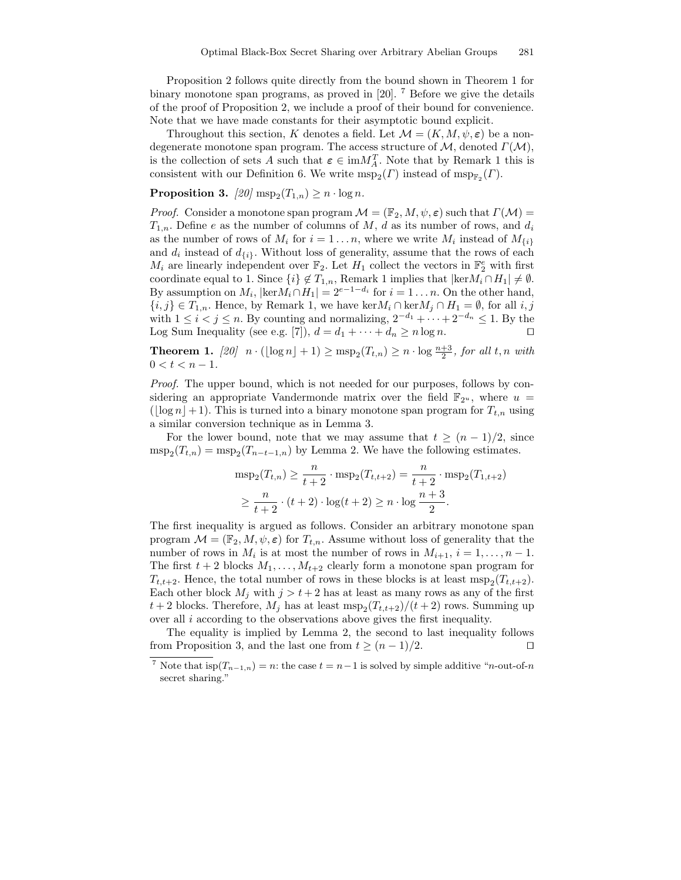Proposition 2 follows quite directly from the bound shown in Theorem 1 for binary monotone span programs, as proved in [20]. <sup>7</sup> Before we give the details of the proof of Proposition 2, we include a proof of their bound for convenience. Note that we have made constants for their asymptotic bound explicit.

Throughout this section, K denotes a field. Let  $\mathcal{M} = (K, M, \psi, \varepsilon)$  be a nondegenerate monotone span program. The access structure of  $M$ , denoted  $\Gamma(\mathcal{M})$ , is the collection of sets A such that  $\varepsilon \in \text{im}M_A^T$ . Note that by Remark 1 this is consistent with our Definition 6. We write  $msp_2(\Gamma)$  instead of  $msp_{\mathbb{F}_2}(\Gamma)$ .

Proposition 3.  $[20] \operatorname{msp}_2(T_{1,n}) \geq n \cdot \log n$ .

*Proof.* Consider a monotone span program  $\mathcal{M} = (\mathbb{F}_2, M, \psi, \varepsilon)$  such that  $\Gamma(\mathcal{M}) =$  $T_{1,n}$ . Define e as the number of columns of M, d as its number of rows, and  $d_i$ as the number of rows of  $M_i$  for  $i = 1...n$ , where we write  $M_i$  instead of  $M_{\{i\}}$ and  $d_i$  instead of  $d_{\{i\}}$ . Without loss of generality, assume that the rows of each  $M_i$  are linearly independent over  $\mathbb{F}_2$ . Let  $H_1$  collect the vectors in  $\mathbb{F}_2^e$  with first coordinate equal to 1. Since  $\{i\} \notin T_{1,n}$ , Remark 1 implies that  $|\text{ker}M_i \cap H_1| \neq \emptyset$ . By assumption on  $M_i$ ,  $|\text{ker }M_i \cap H_1| = 2^{e-1-d_i}$  for  $i = 1 \dots n$ . On the other hand,  ${i, j} \in T_{1,n}$ . Hence, by Remark 1, we have ker $M_i \cap \text{ker }M_j \cap H_1 = \emptyset$ , for all  $i, j$ with  $1 \leq i < j \leq n$ . By counting and normalizing,  $2^{-d_1} + \cdots + 2^{-d_n} \leq 1$ . By the Log Sum Inequality (see e.g. [7]),  $d = d_1 + \cdots + d_n \ge n \log n$ .

**Theorem 1.**  $[20]$   $n \cdot (\lfloor \log n \rfloor + 1) \ge \text{msp}_2(T_{t,n}) \ge n \cdot \log \frac{n+3}{2}$ , for all t, n with  $0 < t < n - 1$ .

Proof. The upper bound, which is not needed for our purposes, follows by considering an appropriate Vandermonde matrix over the field  $\mathbb{F}_{2^u}$ , where  $u =$ ( $\log n$ +1). This is turned into a binary monotone span program for  $T_{t,n}$  using a similar conversion technique as in Lemma 3.

For the lower bound, note that we may assume that  $t \geq (n-1)/2$ , since  $msp_2(T_{t,n}) = msp_2(T_{n-t-1,n})$  by Lemma 2. We have the following estimates.

$$
msp_2(T_{t,n}) \ge \frac{n}{t+2} \cdot msp_2(T_{t,t+2}) = \frac{n}{t+2} \cdot msp_2(T_{1,t+2})
$$
  
 
$$
\ge \frac{n}{t+2} \cdot (t+2) \cdot \log(t+2) \ge n \cdot \log\frac{n+3}{2}.
$$

The first inequality is argued as follows. Consider an arbitrary monotone span program  $\mathcal{M} = (\mathbb{F}_2, M, \psi, \varepsilon)$  for  $T_{t,n}$ . Assume without loss of generality that the number of rows in  $M_i$  is at most the number of rows in  $M_{i+1}$ ,  $i = 1, \ldots, n-1$ . The first  $t + 2$  blocks  $M_1, \ldots, M_{t+2}$  clearly form a monotone span program for  $T_{t,t+2}$ . Hence, the total number of rows in these blocks is at least  $\text{msg}_2(T_{t,t+2})$ . Each other block  $M_j$  with  $j > t + 2$  has at least as many rows as any of the first  $t+2$  blocks. Therefore,  $M_j$  has at least  $\text{msg}_2(T_{t,t+2})/(t+2)$  rows. Summing up over all  $i$  according to the observations above gives the first inequality.

The equality is implied by Lemma 2, the second to last inequality follows from Proposition 3, and the last one from  $t \ge (n-1)/2$ .

<sup>&</sup>lt;sup>7</sup> Note that  $\text{isp}(T_{n-1,n}) = n$ : the case  $t = n-1$  is solved by simple additive "*n*-out-of-*n* secret sharing."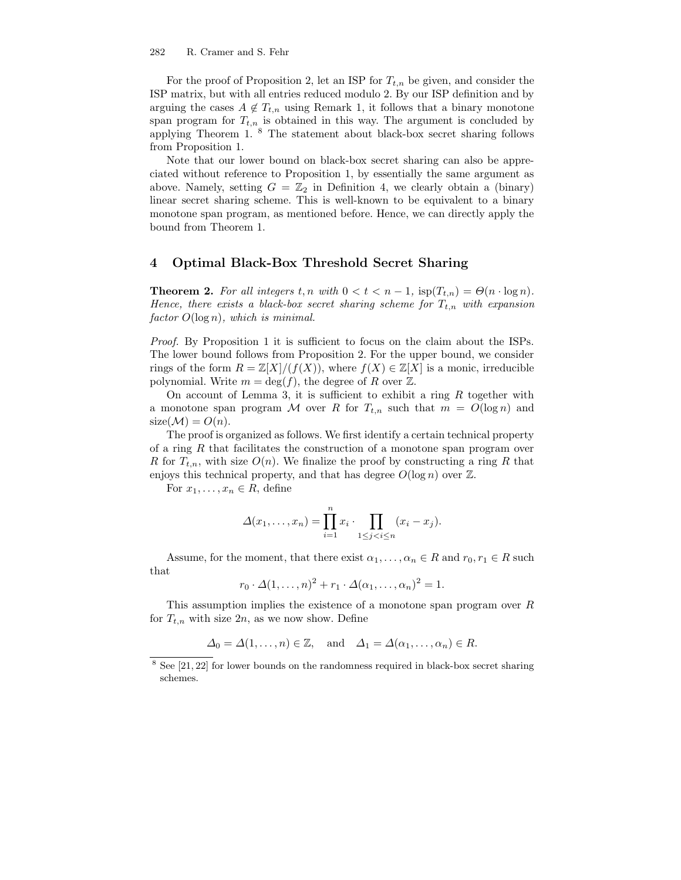For the proof of Proposition 2, let an ISP for  $T_{t,n}$  be given, and consider the ISP matrix, but with all entries reduced modulo 2. By our ISP definition and by arguing the cases  $A \notin T_{t,n}$  using Remark 1, it follows that a binary monotone span program for  $T_{t,n}$  is obtained in this way. The argument is concluded by applying Theorem 1. <sup>8</sup> The statement about black-box secret sharing follows from Proposition 1.

Note that our lower bound on black-box secret sharing can also be appreciated without reference to Proposition 1, by essentially the same argument as above. Namely, setting  $G = \mathbb{Z}_2$  in Definition 4, we clearly obtain a (binary) linear secret sharing scheme. This is well-known to be equivalent to a binary monotone span program, as mentioned before. Hence, we can directly apply the bound from Theorem 1.

## 4 Optimal Black-Box Threshold Secret Sharing

**Theorem 2.** For all integers  $t, n$  with  $0 < t < n - 1$ ,  $\text{isp}(T_{t,n}) = \Theta(n \cdot \log n)$ . Hence, there exists a black-box secret sharing scheme for  $T_{t,n}$  with expansion  $factor\ O(\log n)$ , which is minimal.

Proof. By Proposition 1 it is sufficient to focus on the claim about the ISPs. The lower bound follows from Proposition 2. For the upper bound, we consider rings of the form  $R = \mathbb{Z}[X]/(f(X))$ , where  $f(X) \in \mathbb{Z}[X]$  is a monic, irreducible polynomial. Write  $m = \deg(f)$ , the degree of R over Z.

On account of Lemma 3, it is sufficient to exhibit a ring  $R$  together with a monotone span program M over R for  $T_{t,n}$  such that  $m = O(\log n)$  and  $size(\mathcal{M})=O(n).$ 

The proof is organized as follows. We first identify a certain technical property of a ring R that facilitates the construction of a monotone span program over R for  $T_{t,n}$ , with size  $O(n)$ . We finalize the proof by constructing a ring R that enjoys this technical property, and that has degree  $O(\log n)$  over  $\mathbb{Z}$ .

For  $x_1, \ldots, x_n \in R$ , define

$$
\Delta(x_1,\ldots,x_n)=\prod_{i=1}^n x_i\cdot \prod_{1\leq j
$$

Assume, for the moment, that there exist  $\alpha_1, \ldots, \alpha_n \in R$  and  $r_0, r_1 \in R$  such that

$$
r_0 \cdot \Delta(1,\ldots,n)^2 + r_1 \cdot \Delta(\alpha_1,\ldots,\alpha_n)^2 = 1.
$$

This assumption implies the existence of a monotone span program over R for  $T_{t,n}$  with size  $2n$ , as we now show. Define

$$
\Delta_0 = \Delta(1, \dots, n) \in \mathbb{Z}, \text{ and } \Delta_1 = \Delta(\alpha_1, \dots, \alpha_n) \in R.
$$

<sup>8</sup> See [21, 22] for lower bounds on the randomness required in black-box secret sharing schemes.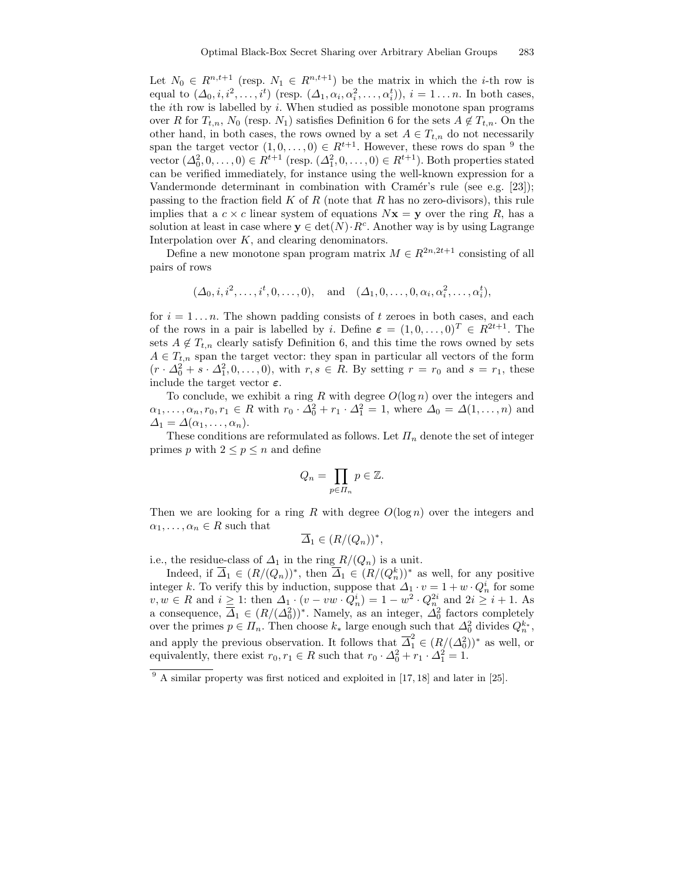Let  $N_0 \in R^{n,t+1}$  (resp.  $N_1 \in R^{n,t+1}$ ) be the matrix in which the *i*-th row is equal to  $(\Delta_0, i, i^2, \ldots, i^t)$  (resp.  $(\Delta_1, \alpha_i, \alpha_i^2, \ldots, \alpha_i^t)$ ),  $i = 1 \ldots n$ . In both cases, the *i*th row is labelled by  $i$ . When studied as possible monotone span programs over R for  $T_{t,n}$ ,  $N_0$  (resp.  $N_1$ ) satisfies Definition 6 for the sets  $A \notin T_{t,n}$ . On the other hand, in both cases, the rows owned by a set  $A \in T_{t,n}$  do not necessarily span the target vector  $(1,0,\ldots,0) \in R^{t+1}$ . However, these rows do span <sup>9</sup> the vector  $(\Delta_0^2, 0, \ldots, 0) \in R^{t+1}$  (resp.  $(\Delta_1^2, 0, \ldots, 0) \in R^{t+1}$ ). Both properties stated can be verified immediately, for instance using the well-known expression for a Vandermonde determinant in combination with Cramér's rule (see e.g. [23]); passing to the fraction field  $K$  of  $R$  (note that  $R$  has no zero-divisors), this rule implies that a  $c \times c$  linear system of equations  $Nx = y$  over the ring R, has a solution at least in case where  $y \in det(N) \cdot R^c$ . Another way is by using Lagrange Interpolation over  $K$ , and clearing denominators.

Define a new monotone span program matrix  $M \in R^{2n,2t+1}$  consisting of all pairs of rows

$$
(\Delta_0, i, i^2, \ldots, i^t, 0, \ldots, 0),
$$
 and  $(\Delta_1, 0, \ldots, 0, \alpha_i, \alpha_i^2, \ldots, \alpha_i^t),$ 

for  $i = 1...n$ . The shown padding consists of t zeroes in both cases, and each of the rows in a pair is labelled by i. Define  $\boldsymbol{\varepsilon} = (1, 0, \dots, 0)^T \in R^{2t+1}$ . The sets  $A \notin T_{t,n}$  clearly satisfy Definition 6, and this time the rows owned by sets  $A \in T_{t,n}$  span the target vector: they span in particular all vectors of the form  $(r \cdot \Delta_0^2 + s \cdot \Delta_1^2, 0, \ldots, 0)$ , with  $r, s \in R$ . By setting  $r = r_0$  and  $s = r_1$ , these include the target vector  $\varepsilon$ .

To conclude, we exhibit a ring R with degree  $O(\log n)$  over the integers and  $\alpha_1, \ldots, \alpha_n, r_0, r_1 \in R$  with  $r_0 \cdot \Delta_0^2 + r_1 \cdot \Delta_1^2 = 1$ , where  $\Delta_0 = \Delta(1, \ldots, n)$  and  $\Delta_1 = \Delta(\alpha_1, \ldots, \alpha_n).$ 

These conditions are reformulated as follows. Let  $\Pi_n$  denote the set of integer primes p with  $2 \leq p \leq n$  and define

$$
Q_n = \prod_{p \in \Pi_n} p \in \mathbb{Z}.
$$

Then we are looking for a ring R with degree  $O(\log n)$  over the integers and  $\alpha_1, \ldots, \alpha_n \in R$  such that

$$
\overline{\Delta}_1 \in (R/(Q_n))^*,
$$

i.e., the residue-class of  $\Delta_1$  in the ring  $R/(Q_n)$  is a unit.

Indeed, if  $\overline{\Delta}_1 \in (R/(Q_n))^*$ , then  $\overline{\Delta}_1 \in (R/(Q_n^k))^*$  as well, for any positive integer k. To verify this by induction, suppose that  $\Delta_1 \cdot v = 1 + w \cdot Q_n^i$  for some  $v, w \in R$  and  $i \geq 1$ : then  $\Delta_1 \cdot (v - vw \cdot Q_n^i) = 1 - w^2 \cdot Q_n^{2i}$  and  $2i \geq i + 1$ . As a consequence,  $\overline{\Delta}_1 \in (R/(\Delta_0^2))^*$ . Namely, as an integer,  $\Delta_0^2$  factors completely over the primes  $p \in \Pi_n$ . Then choose  $k_*$  large enough such that  $\Delta_0^2$  divides  $Q_n^{k_*}$ , and apply the previous observation. It follows that  $\overline{\Delta}_1^2 \in (R/(\Delta_0^2))^*$  as well, or equivalently, there exist  $r_0, r_1 \in R$  such that  $r_0 \cdot \Delta_0^2 + r_1 \cdot \Delta_1^2 = 1$ .

<sup>&</sup>lt;sup>9</sup> A similar property was first noticed and exploited in [17, 18] and later in [25].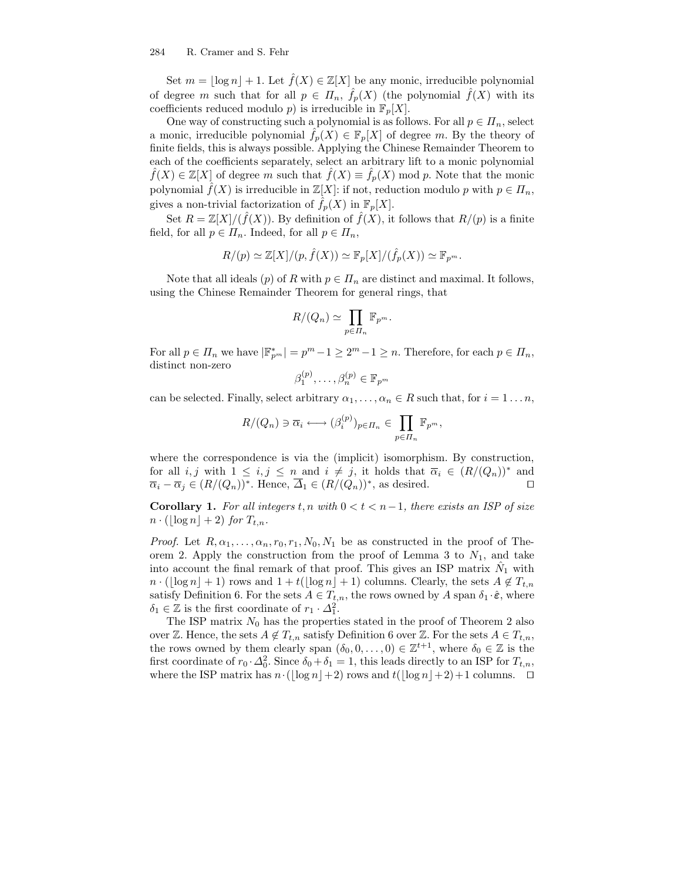#### 284 R. Cramer and S. Fehr

Set  $m = |\log n| + 1$ . Let  $\hat{f}(X) \in \mathbb{Z}[X]$  be any monic, irreducible polynomial of degree m such that for all  $p \in \Pi_n$ ,  $\hat{f}_p(X)$  (the polynomial  $\hat{f}(X)$  with its coefficients reduced modulo p) is irreducible in  $\mathbb{F}_p[X]$ .

One way of constructing such a polynomial is as follows. For all  $p \in \Pi_n$ , select a monic, irreducible polynomial  $\hat{f}_p(X) \in \mathbb{F}_p[X]$  of degree m. By the theory of finite fields, this is always possible. Applying the Chinese Remainder Theorem to each of the coefficients separately, select an arbitrary lift to a monic polynomial  $\widehat{f}(X) \in \mathbb{Z}[X]$  of degree m such that  $\widehat{f}(X) \equiv \widehat{f}_p(X)$  mod p. Note that the monic polynomial  $\hat{f}(X)$  is irreducible in  $\mathbb{Z}[X]$ : if not, reduction modulo p with  $p \in \Pi_n$ , gives a non-trivial factorization of  $\hat{f}_n(X)$  in  $\mathbb{F}_n[X]$ .

Set  $R = \mathbb{Z}[X]/(\hat{f}(X))$ . By definition of  $\hat{f}(X)$ , it follows that  $R/(p)$  is a finite field, for all  $p \in \Pi_n$ . Indeed, for all  $p \in \Pi_n$ ,

$$
R/(p) \simeq \mathbb{Z}[X]/(p, \hat{f}(X)) \simeq \mathbb{F}_p[X]/(\hat{f}_p(X)) \simeq \mathbb{F}_{p^m}.
$$

Note that all ideals (p) of R with  $p \in \Pi_n$  are distinct and maximal. It follows, using the Chinese Remainder Theorem for general rings, that

$$
R/(Q_n) \simeq \prod_{p \in \Pi_n} \mathbb{F}_{p^m}.
$$

For all  $p \in \prod_n$  we have  $|\mathbb{F}_{p^m}^*| = p^m - 1 \ge 2^m - 1 \ge n$ . Therefore, for each  $p \in \prod_n$ , distinct non-zero

$$
\beta_1^{(p)}, \ldots, \beta_n^{(p)} \in \mathbb{F}_{p^m}
$$

can be selected. Finally, select arbitrary  $\alpha_1, \ldots, \alpha_n \in R$  such that, for  $i = 1 \ldots n$ ,

$$
R/(Q_n) \ni \overline{\alpha}_i \longleftrightarrow (\beta_i^{(p)})_{p \in \Pi_n} \in \prod_{p \in \Pi_n} \mathbb{F}_{p^m},
$$

where the correspondence is via the (implicit) isomorphism. By construction, for all i, j with  $1 \le i, j \le n$  and  $i \ne j$ , it holds that  $\overline{\alpha}_i \in (R/(Q_n))^*$  and  $\overline{\alpha}_i - \overline{\alpha}_j \in (R/(Q_n))^*$ . Hence,  $\overline{\Delta}_1 \in (R/(Q_n))^*$ , as desired.

Corollary 1. For all integers t, n with  $0 < t < n-1$ , there exists an ISP of size  $n \cdot (|\log n| + 2)$  for  $T_{t,n}$ .

*Proof.* Let  $R, \alpha_1, \ldots, \alpha_n, r_0, r_1, N_0, N_1$  be as constructed in the proof of Theorem 2. Apply the construction from the proof of Lemma 3 to  $N_1$ , and take into account the final remark of that proof. This gives an ISP matrix  $\hat{N}_1$  with  $n \cdot (\log n_1 + 1)$  rows and  $1 + t(\log n_1 + 1)$  columns. Clearly, the sets  $A \notin T_{t,n}$ satisfy Definition 6. For the sets  $A \in T_{t,n}$ , the rows owned by A span  $\delta_1 \cdot \hat{\epsilon}$ , where  $\delta_1 \in \mathbb{Z}$  is the first coordinate of  $r_1 \cdot \Delta_1^2$ .

The ISP matrix  $N_0$  has the properties stated in the proof of Theorem 2 also over Z. Hence, the sets  $A \notin T_{t,n}$  satisfy Definition 6 over Z. For the sets  $A \in T_{t,n}$ , the rows owned by them clearly span  $(\delta_0, 0, \ldots, 0) \in \mathbb{Z}^{t+1}$ , where  $\delta_0 \in \mathbb{Z}$  is the first coordinate of  $r_0 \cdot \Delta_0^2$ . Since  $\delta_0 + \delta_1 = 1$ , this leads directly to an ISP for  $T_{t,n}$ , where the ISP matrix has  $n \cdot (|\log n|+2)$  rows and  $t(|\log n|+2)+1$  columns.  $\Box$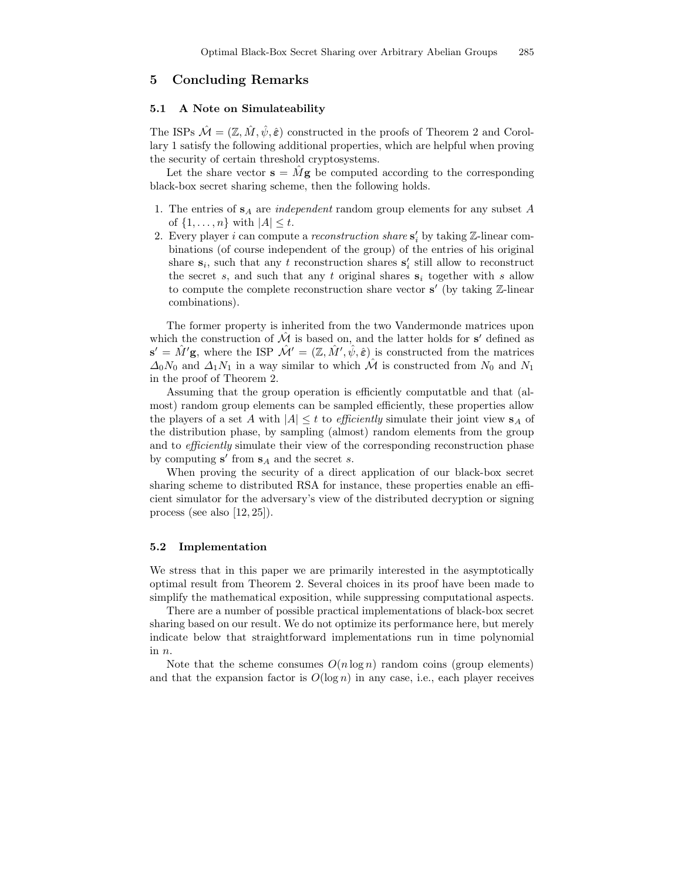# 5 Concluding Remarks

#### 5.1 A Note on Simulateability

The ISPs  $\mathcal{M} = (\mathbb{Z}, \hat{M}, \hat{\psi}, \hat{\epsilon})$  constructed in the proofs of Theorem 2 and Corollary 1 satisfy the following additional properties, which are helpful when proving the security of certain threshold cryptosystems.

Let the share vector  $\mathbf{s} = M\mathbf{g}$  be computed according to the corresponding black-box secret sharing scheme, then the following holds.

- 1. The entries of  $s_A$  are *independent* random group elements for any subset A of  $\{1, \ldots, n\}$  with  $|A| \leq t$ .
- 2. Every player *i* can compute a *reconstruction share*  $\mathbf{s}'_i$  by taking  $\mathbb{Z}$ -linear combinations (of course independent of the group) of the entries of his original share  $s_i$ , such that any t reconstruction shares  $s'_i$  still allow to reconstruct the secret s, and such that any t original shares  $s_i$  together with s allow to compute the complete reconstruction share vector  $s'$  (by taking  $\mathbb{Z}$ -linear combinations).

The former property is inherited from the two Vandermonde matrices upon which the construction of  $\hat{\mathcal{M}}$  is based on, and the latter holds for s' defined as  $\mathbf{s}' = \hat{M}'\mathbf{g}$ , where the ISP  $\hat{\mathcal{M}}' = (\mathbb{Z}, \hat{M}', \hat{\psi}, \hat{\varepsilon})$  is constructed from the matrices  $\Delta_0N_0$  and  $\Delta_1N_1$  in a way similar to which  $\hat{\mathcal{M}}$  is constructed from  $N_0$  and  $N_1$ in the proof of Theorem 2.

Assuming that the group operation is efficiently computatble and that (almost) random group elements can be sampled efficiently, these properties allow the players of a set A with  $|A| \leq t$  to *efficiently* simulate their joint view  $s_A$  of the distribution phase, by sampling (almost) random elements from the group and to efficiently simulate their view of the corresponding reconstruction phase by computing  $s'$  from  $s_A$  and the secret s.

When proving the security of a direct application of our black-box secret sharing scheme to distributed RSA for instance, these properties enable an efficient simulator for the adversary's view of the distributed decryption or signing process (see also [12, 25]).

#### 5.2 Implementation

We stress that in this paper we are primarily interested in the asymptotically optimal result from Theorem 2. Several choices in its proof have been made to simplify the mathematical exposition, while suppressing computational aspects.

There are a number of possible practical implementations of black-box secret sharing based on our result. We do not optimize its performance here, but merely indicate below that straightforward implementations run in time polynomial in n.

Note that the scheme consumes  $O(n \log n)$  random coins (group elements) and that the expansion factor is  $O(\log n)$  in any case, i.e., each player receives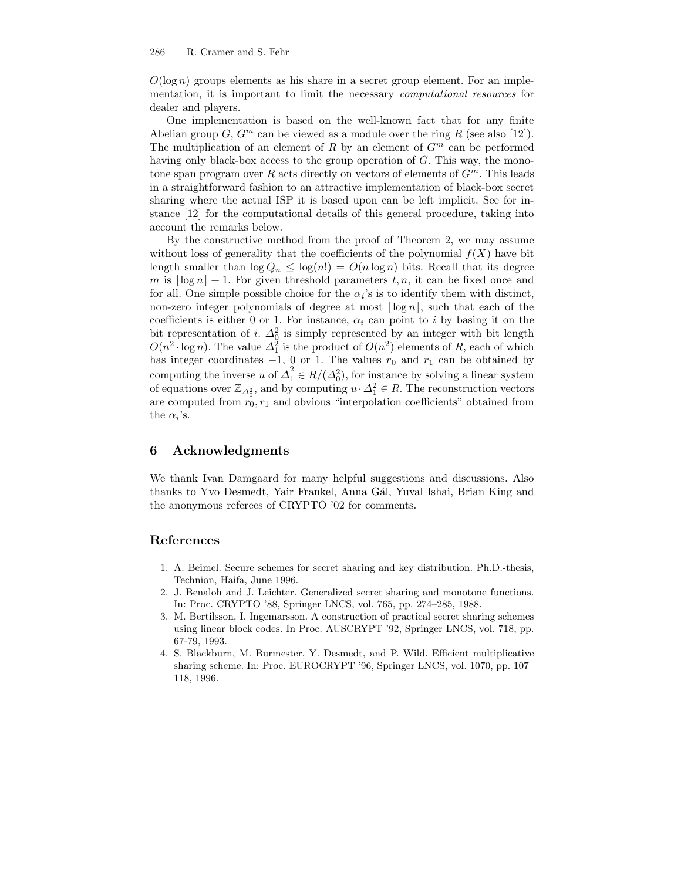$O(\log n)$  groups elements as his share in a secret group element. For an implementation, it is important to limit the necessary computational resources for dealer and players.

One implementation is based on the well-known fact that for any finite Abelian group  $G, G^m$  can be viewed as a module over the ring R (see also [12]). The multiplication of an element of R by an element of  $G<sup>m</sup>$  can be performed having only black-box access to the group operation of G. This way, the monotone span program over R acts directly on vectors of elements of  $G<sup>m</sup>$ . This leads in a straightforward fashion to an attractive implementation of black-box secret sharing where the actual ISP it is based upon can be left implicit. See for instance [12] for the computational details of this general procedure, taking into account the remarks below.

By the constructive method from the proof of Theorem 2, we may assume without loss of generality that the coefficients of the polynomial  $f(X)$  have bit length smaller than  $\log Q_n \leq \log(n!) = O(n \log n)$  bits. Recall that its degree m is  $\log n + 1$ . For given threshold parameters t, n, it can be fixed once and for all. One simple possible choice for the  $\alpha_i$ 's is to identify them with distinct, non-zero integer polynomials of degree at most  $\lfloor \log n \rfloor$ , such that each of the coefficients is either 0 or 1. For instance,  $\alpha_i$  can point to i by basing it on the bit representation of i.  $\Delta_0^2$  is simply represented by an integer with bit length  $O(n^2 \cdot \log n)$ . The value  $\Delta_1^2$  is the product of  $O(n^2)$  elements of R, each of which has integer coordinates  $-1$ , 0 or 1. The values  $r_0$  and  $r_1$  can be obtained by computing the inverse  $\overline{u}$  of  $\overline{\Delta}_1^2 \in R/(\Delta_0^2)$ , for instance by solving a linear system of equations over  $\mathbb{Z}_{\Delta_0^2}$ , and by computing  $u \cdot \Delta_1^2 \in R$ . The reconstruction vectors are computed from  $r_0, r_1$  and obvious "interpolation coefficients" obtained from the  $\alpha_i$ 's.

## 6 Acknowledgments

We thank Ivan Damgaard for many helpful suggestions and discussions. Also thanks to Yvo Desmedt, Yair Frankel, Anna Gál, Yuval Ishai, Brian King and the anonymous referees of CRYPTO '02 for comments.

## References

- 1. A. Beimel. Secure schemes for secret sharing and key distribution. Ph.D.-thesis, Technion, Haifa, June 1996.
- 2. J. Benaloh and J. Leichter. Generalized secret sharing and monotone functions. In: Proc. CRYPTO '88, Springer LNCS, vol. 765, pp. 274–285, 1988.
- 3. M. Bertilsson, I. Ingemarsson. A construction of practical secret sharing schemes using linear block codes. In Proc. AUSCRYPT '92, Springer LNCS, vol. 718, pp. 67-79, 1993.
- 4. S. Blackburn, M. Burmester, Y. Desmedt, and P. Wild. Efficient multiplicative sharing scheme. In: Proc. EUROCRYPT '96, Springer LNCS, vol. 1070, pp. 107– 118, 1996.